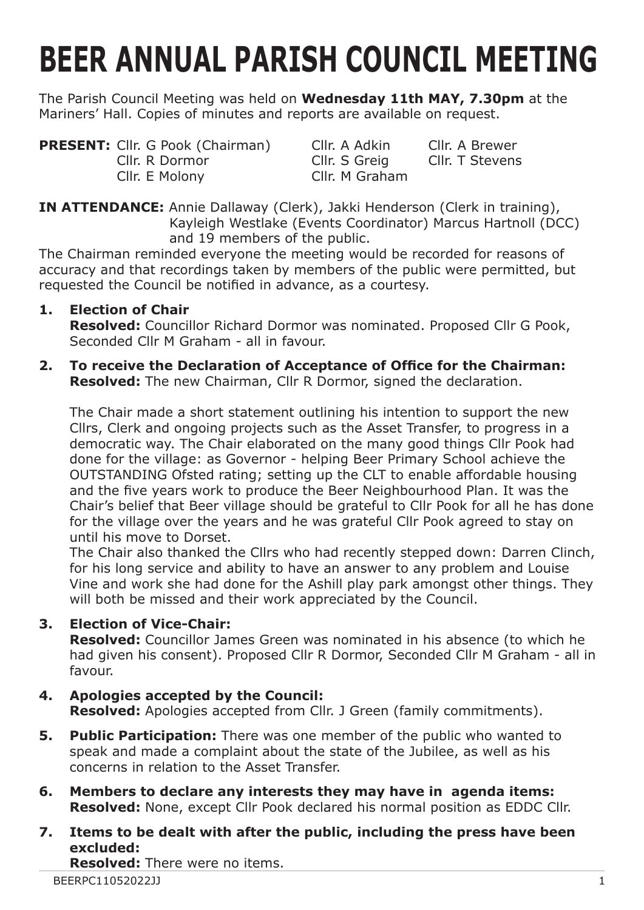# **BEER ANNUAL PARISH COUNCIL MEETING**

The Parish Council Meeting was held on **Wednesday 11th MAY, 7.30pm** at the Mariners' Hall. Copies of minutes and reports are available on request.

**PRESENT:** Cllr. G Pook (Chairman) Cllr. A Adkin Cllr. A Brewer<br>Cllr. R Dormor Cllr. S Greig Cllr. T Stevens Cllr. R Dormor Cllr. S Greig Cllr. E Molony Cllr. M Graham

**IN ATTENDANCE:** Annie Dallaway (Clerk), Jakki Henderson (Clerk in training), Kayleigh Westlake (Events Coordinator) Marcus Hartnoll (DCC) and 19 members of the public.

The Chairman reminded everyone the meeting would be recorded for reasons of accuracy and that recordings taken by members of the public were permitted, but requested the Council be notified in advance, as a courtesy.

# **1. Election of Chair**

**Resolved:** Councillor Richard Dormor was nominated. Proposed Cllr G Pook, Seconded Cllr M Graham - all in favour.

**2. To receive the Declaration of Acceptance of Office for the Chairman: Resolved:** The new Chairman, Cllr R Dormor, signed the declaration.

The Chair made a short statement outlining his intention to support the new Cllrs, Clerk and ongoing projects such as the Asset Transfer, to progress in a democratic way. The Chair elaborated on the many good things Cllr Pook had done for the village: as Governor - helping Beer Primary School achieve the OUTSTANDING Ofsted rating; setting up the CLT to enable affordable housing and the five years work to produce the Beer Neighbourhood Plan. It was the Chair's belief that Beer village should be grateful to Cllr Pook for all he has done for the village over the years and he was grateful Cllr Pook agreed to stay on until his move to Dorset.

The Chair also thanked the Cllrs who had recently stepped down: Darren Clinch, for his long service and ability to have an answer to any problem and Louise Vine and work she had done for the Ashill play park amongst other things. They will both be missed and their work appreciated by the Council.

# **3. Election of Vice-Chair:**

**Resolved:** Councillor James Green was nominated in his absence (to which he had given his consent). Proposed Cllr R Dormor, Seconded Cllr M Graham - all in favour.

## **4. Apologies accepted by the Council: Resolved:** Apologies accepted from Cllr. J Green (family commitments).

- **5. Public Participation:** There was one member of the public who wanted to speak and made a complaint about the state of the Jubilee, as well as his concerns in relation to the Asset Transfer.
- **6. Members to declare any interests they may have in agenda items: Resolved:** None, except Cllr Pook declared his normal position as EDDC Cllr.
- **7. Items to be dealt with after the public, including the press have been excluded:**

**Resolved:** There were no items.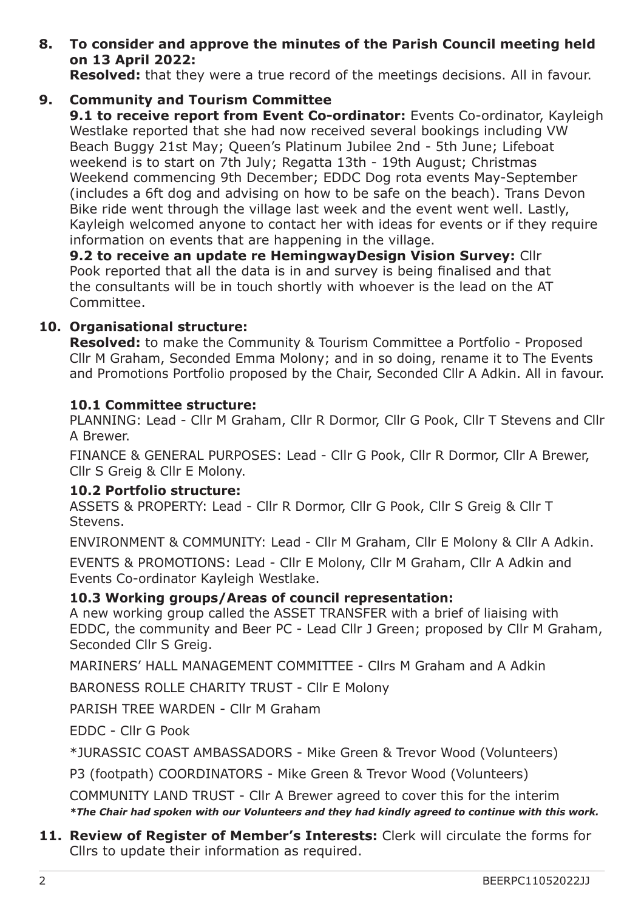**8. To consider and approve the minutes of the Parish Council meeting held on 13 April 2022:**

**Resolved:** that they were a true record of the meetings decisions. All in favour.

**9. Community and Tourism Committee**

**9.1 to receive report from Event Co-ordinator:** Events Co-ordinator, Kayleigh Westlake reported that she had now received several bookings including VW Beach Buggy 21st May; Queen's Platinum Jubilee 2nd - 5th June; Lifeboat weekend is to start on 7th July; Regatta 13th - 19th August; Christmas Weekend commencing 9th December; EDDC Dog rota events May-September (includes a 6ft dog and advising on how to be safe on the beach). Trans Devon Bike ride went through the village last week and the event went well. Lastly, Kayleigh welcomed anyone to contact her with ideas for events or if they require information on events that are happening in the village.

**9.2 to receive an update re HemingwayDesign Vision Survey:** Cllr Pook reported that all the data is in and survey is being finalised and that the consultants will be in touch shortly with whoever is the lead on the AT Committee.

## **10. Organisational structure:**

**Resolved:** to make the Community & Tourism Committee a Portfolio - Proposed Cllr M Graham, Seconded Emma Molony; and in so doing, rename it to The Events and Promotions Portfolio proposed by the Chair, Seconded Cllr A Adkin. All in favour.

## **10.1 Committee structure:**

PLANNING: Lead - Cllr M Graham, Cllr R Dormor, Cllr G Pook, Cllr T Stevens and Cllr A Brewer.

FINANCE & GENERAL PURPOSES: Lead - Cllr G Pook, Cllr R Dormor, Cllr A Brewer, Cllr S Greig & Cllr E Molony.

#### **10.2 Portfolio structure:**

ASSETS & PROPERTY: Lead - Cllr R Dormor, Cllr G Pook, Cllr S Greig & Cllr T Stevens.

ENVIRONMENT & COMMUNITY: Lead - Cllr M Graham, Cllr E Molony & Cllr A Adkin. EVENTS & PROMOTIONS: Lead - Cllr E Molony, Cllr M Graham, Cllr A Adkin and Events Co-ordinator Kayleigh Westlake.

## **10.3 Working groups/Areas of council representation:**

A new working group called the ASSET TRANSFER with a brief of liaising with EDDC, the community and Beer PC - Lead Cllr J Green; proposed by Cllr M Graham, Seconded Cllr S Greig.

MARINERS' HALL MANAGEMENT COMMITTEE - Cllrs M Graham and A Adkin

BARONESS ROLLE CHARITY TRUST - Cllr E Molony

PARISH TREE WARDEN - Cllr M Graham

EDDC - Cllr G Pook

\*JURASSIC COAST AMBASSADORS - Mike Green & Trevor Wood (Volunteers)

P3 (footpath) COORDINATORS - Mike Green & Trevor Wood (Volunteers)

COMMUNITY LAND TRUST - Cllr A Brewer agreed to cover this for the interim *\*The Chair had spoken with our Volunteers and they had kindly agreed to continue with this work.*

#### **11. Review of Register of Member's Interests:** Clerk will circulate the forms for Cllrs to update their information as required.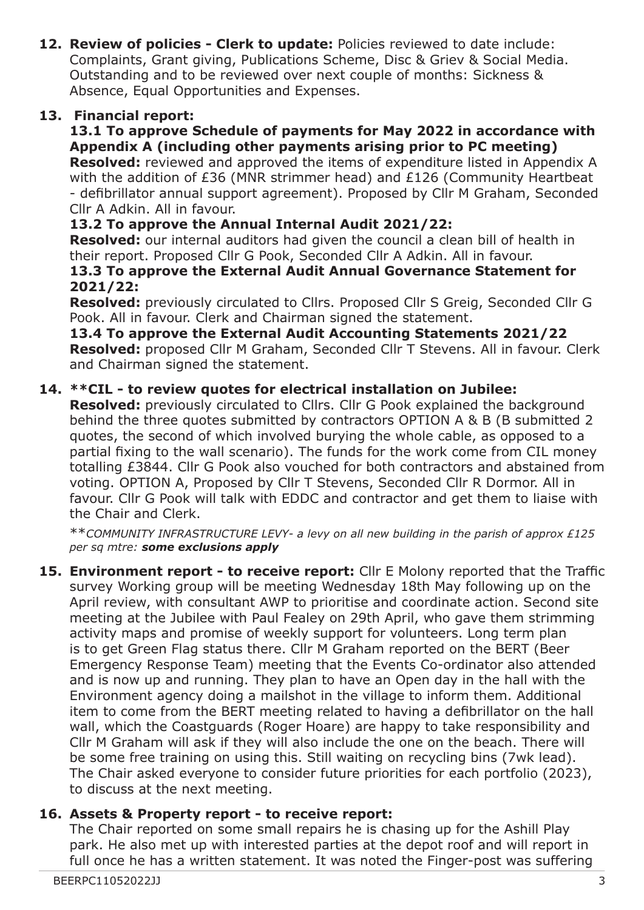**12. Review of policies - Clerk to update:** Policies reviewed to date include: Complaints, Grant giving, Publications Scheme, Disc & Griev & Social Media. Outstanding and to be reviewed over next couple of months: Sickness & Absence, Equal Opportunities and Expenses.

## **13. Financial report:**

## **13.1 To approve Schedule of payments for May 2022 in accordance with Appendix A (including other payments arising prior to PC meeting)**

**Resolved:** reviewed and approved the items of expenditure listed in Appendix A with the addition of £36 (MNR strimmer head) and £126 (Community Heartbeat - defibrillator annual support agreement). Proposed by Cllr M Graham, Seconded Cllr A Adkin. All in favour.

## **13.2 To approve the Annual Internal Audit 2021/22:**

**Resolved:** our internal auditors had given the council a clean bill of health in their report. Proposed Cllr G Pook, Seconded Cllr A Adkin. All in favour.

#### **13.3 To approve the External Audit Annual Governance Statement for 2021/22:**

**Resolved:** previously circulated to Cllrs. Proposed Cllr S Greig, Seconded Cllr G Pook. All in favour. Clerk and Chairman signed the statement.

#### **13.4 To approve the External Audit Accounting Statements 2021/22 Resolved:** proposed Cllr M Graham, Seconded Cllr T Stevens. All in favour. Clerk and Chairman signed the statement.

## **14. \*\*CIL - to review quotes for electrical installation on Jubilee:**

**Resolved:** previously circulated to Cllrs. Cllr G Pook explained the background behind the three quotes submitted by contractors OPTION A & B (B submitted 2 quotes, the second of which involved burying the whole cable, as opposed to a partial fixing to the wall scenario). The funds for the work come from CIL money totalling £3844. Cllr G Pook also vouched for both contractors and abstained from voting. OPTION A, Proposed by Cllr T Stevens, Seconded Cllr R Dormor. All in favour. Cllr G Pook will talk with EDDC and contractor and get them to liaise with the Chair and Clerk.

\*\**COMMUNITY INFRASTRUCTURE LEVY- a levy on all new building in the parish of approx £125 per sq mtre: some exclusions apply*

**15. Environment report - to receive report:** Cllr E Molony reported that the Traffic survey Working group will be meeting Wednesday 18th May following up on the April review, with consultant AWP to prioritise and coordinate action. Second site meeting at the Jubilee with Paul Fealey on 29th April, who gave them strimming activity maps and promise of weekly support for volunteers. Long term plan is to get Green Flag status there. Cllr M Graham reported on the BERT (Beer Emergency Response Team) meeting that the Events Co-ordinator also attended and is now up and running. They plan to have an Open day in the hall with the Environment agency doing a mailshot in the village to inform them. Additional item to come from the BERT meeting related to having a defibrillator on the hall wall, which the Coastguards (Roger Hoare) are happy to take responsibility and Cllr M Graham will ask if they will also include the one on the beach. There will be some free training on using this. Still waiting on recycling bins (7wk lead). The Chair asked everyone to consider future priorities for each portfolio (2023), to discuss at the next meeting.

#### **16. Assets & Property report - to receive report:**

The Chair reported on some small repairs he is chasing up for the Ashill Play park. He also met up with interested parties at the depot roof and will report in full once he has a written statement. It was noted the Finger-post was suffering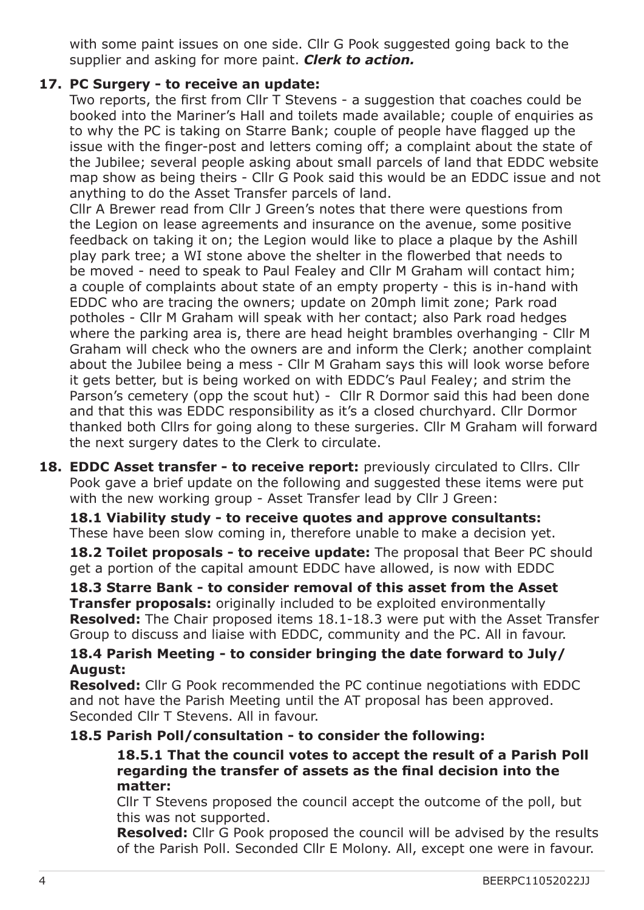with some paint issues on one side. Cllr G Pook suggested going back to the supplier and asking for more paint. *Clerk to action.*

# **17. PC Surgery - to receive an update:**

Two reports, the first from Cllr T Stevens - a suggestion that coaches could be booked into the Mariner's Hall and toilets made available; couple of enquiries as to why the PC is taking on Starre Bank; couple of people have flagged up the issue with the finger-post and letters coming off; a complaint about the state of the Jubilee; several people asking about small parcels of land that EDDC website map show as being theirs - Cllr G Pook said this would be an EDDC issue and not anything to do the Asset Transfer parcels of land.

Cllr A Brewer read from Cllr J Green's notes that there were questions from the Legion on lease agreements and insurance on the avenue, some positive feedback on taking it on; the Legion would like to place a plaque by the Ashill play park tree; a WI stone above the shelter in the flowerbed that needs to be moved - need to speak to Paul Fealey and Cllr M Graham will contact him; a couple of complaints about state of an empty property - this is in-hand with EDDC who are tracing the owners; update on 20mph limit zone; Park road potholes - Cllr M Graham will speak with her contact; also Park road hedges where the parking area is, there are head height brambles overhanging - Cllr M Graham will check who the owners are and inform the Clerk; another complaint about the Jubilee being a mess - Cllr M Graham says this will look worse before it gets better, but is being worked on with EDDC's Paul Fealey; and strim the Parson's cemetery (opp the scout hut) - Cllr R Dormor said this had been done and that this was EDDC responsibility as it's a closed churchyard. Cllr Dormor thanked both Cllrs for going along to these surgeries. Cllr M Graham will forward the next surgery dates to the Clerk to circulate.

**18. EDDC Asset transfer - to receive report:** previously circulated to Cllrs. Cllr Pook gave a brief update on the following and suggested these items were put with the new working group - Asset Transfer lead by Cllr J Green:

**18.1 Viability study - to receive quotes and approve consultants:** These have been slow coming in, therefore unable to make a decision yet.

**18.2 Toilet proposals - to receive update:** The proposal that Beer PC should get a portion of the capital amount EDDC have allowed, is now with EDDC

**18.3 Starre Bank - to consider removal of this asset from the Asset Transfer proposals:** originally included to be exploited environmentally **Resolved:** The Chair proposed items 18.1-18.3 were put with the Asset Transfer Group to discuss and liaise with EDDC, community and the PC. All in favour.

## **18.4 Parish Meeting - to consider bringing the date forward to July/ August:**

**Resolved:** Cllr G Pook recommended the PC continue negotiations with EDDC and not have the Parish Meeting until the AT proposal has been approved. Seconded Cllr T Stevens. All in favour.

#### **18.5 Parish Poll/consultation - to consider the following:**

 **18.5.1 That the council votes to accept the result of a Parish Poll regarding the transfer of assets as the final decision into the matter:**

Cllr T Stevens proposed the council accept the outcome of the poll, but this was not supported.

**Resolved:** Cllr G Pook proposed the council will be advised by the results of the Parish Poll. Seconded Cllr E Molony. All, except one were in favour.